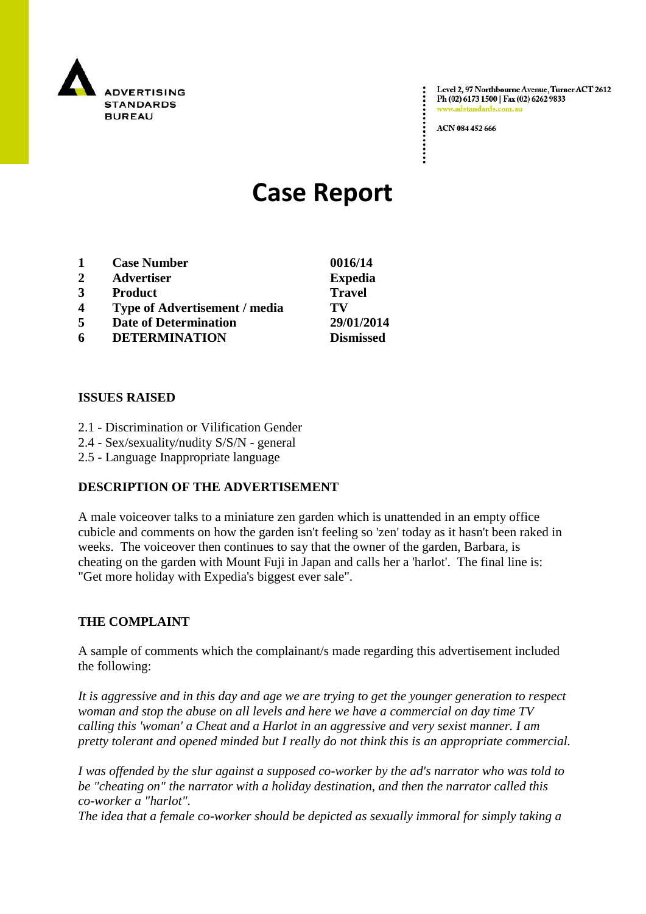

Level 2, 97 Northbourne Avenue, Turner ACT 2612 Ph (02) 6173 1500 | Fax (02) 6262 9833 www.adstandards.com.a

ACN 084 452 666

# **Case Report**

|              | <b>Case Number</b>                   | 0016/14          |
|--------------|--------------------------------------|------------------|
| $\mathbf{2}$ | <b>Advertiser</b>                    | <b>Expedia</b>   |
| 3            | <b>Product</b>                       | <b>Travel</b>    |
| 4            | <b>Type of Advertisement / media</b> | TV               |
| 5            | <b>Date of Determination</b>         | 29/01/2014       |
| 6            | <b>DETERMINATION</b>                 | <b>Dismissed</b> |

#### **ISSUES RAISED**

- 2.1 Discrimination or Vilification Gender
- 2.4 Sex/sexuality/nudity S/S/N general
- 2.5 Language Inappropriate language

## **DESCRIPTION OF THE ADVERTISEMENT**

A male voiceover talks to a miniature zen garden which is unattended in an empty office cubicle and comments on how the garden isn't feeling so 'zen' today as it hasn't been raked in weeks. The voiceover then continues to say that the owner of the garden, Barbara, is cheating on the garden with Mount Fuji in Japan and calls her a 'harlot'. The final line is: "Get more holiday with Expedia's biggest ever sale".

## **THE COMPLAINT**

A sample of comments which the complainant/s made regarding this advertisement included the following:

*It is aggressive and in this day and age we are trying to get the younger generation to respect woman and stop the abuse on all levels and here we have a commercial on day time TV calling this 'woman' a Cheat and a Harlot in an aggressive and very sexist manner. I am pretty tolerant and opened minded but I really do not think this is an appropriate commercial.*

*I was offended by the slur against a supposed co-worker by the ad's narrator who was told to be "cheating on" the narrator with a holiday destination, and then the narrator called this co-worker a "harlot".*

*The idea that a female co-worker should be depicted as sexually immoral for simply taking a*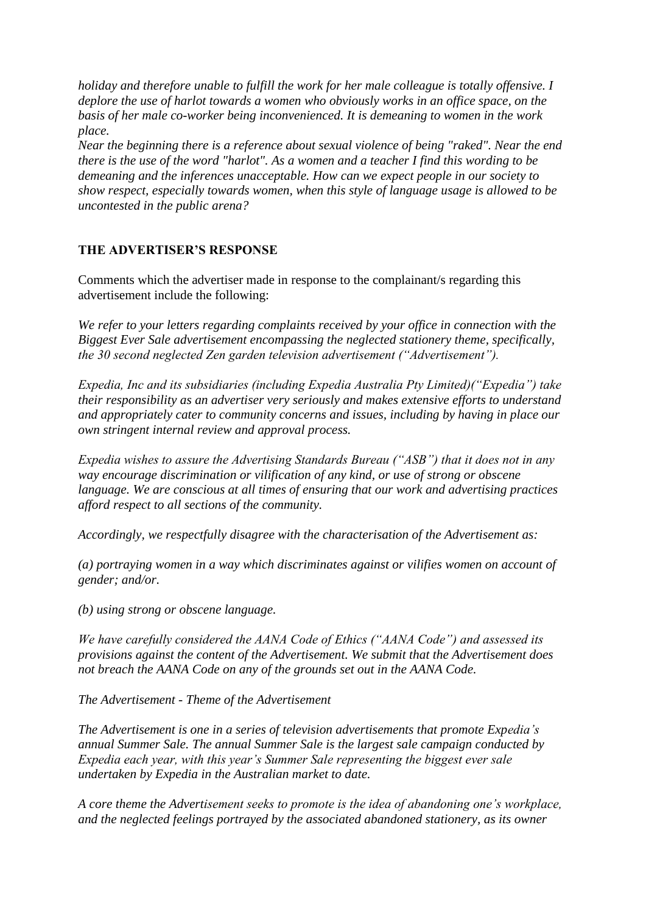*holiday and therefore unable to fulfill the work for her male colleague is totally offensive. I deplore the use of harlot towards a women who obviously works in an office space, on the basis of her male co-worker being inconvenienced. It is demeaning to women in the work place.*

*Near the beginning there is a reference about sexual violence of being "raked". Near the end there is the use of the word "harlot". As a women and a teacher I find this wording to be demeaning and the inferences unacceptable. How can we expect people in our society to show respect, especially towards women, when this style of language usage is allowed to be uncontested in the public arena?*

## **THE ADVERTISER'S RESPONSE**

Comments which the advertiser made in response to the complainant/s regarding this advertisement include the following:

*We refer to your letters regarding complaints received by your office in connection with the Biggest Ever Sale advertisement encompassing the neglected stationery theme, specifically, the 30 second neglected Zen garden television advertisement ("Advertisement").* 

*Expedia, Inc and its subsidiaries (including Expedia Australia Pty Limited)("Expedia") take their responsibility as an advertiser very seriously and makes extensive efforts to understand and appropriately cater to community concerns and issues, including by having in place our own stringent internal review and approval process.* 

*Expedia wishes to assure the Advertising Standards Bureau ("ASB") that it does not in any way encourage discrimination or vilification of any kind, or use of strong or obscene language. We are conscious at all times of ensuring that our work and advertising practices afford respect to all sections of the community.* 

*Accordingly, we respectfully disagree with the characterisation of the Advertisement as:* 

*(a) portraying women in a way which discriminates against or vilifies women on account of gender; and/or.* 

*(b) using strong or obscene language.* 

*We have carefully considered the AANA Code of Ethics ("AANA Code") and assessed its provisions against the content of the Advertisement. We submit that the Advertisement does not breach the AANA Code on any of the grounds set out in the AANA Code.* 

*The Advertisement - Theme of the Advertisement* 

*The Advertisement is one in a series of television advertisements that promote Expedia's annual Summer Sale. The annual Summer Sale is the largest sale campaign conducted by Expedia each year, with this year's Summer Sale representing the biggest ever sale undertaken by Expedia in the Australian market to date.* 

*A core theme the Advertisement seeks to promote is the idea of abandoning one's workplace, and the neglected feelings portrayed by the associated abandoned stationery, as its owner*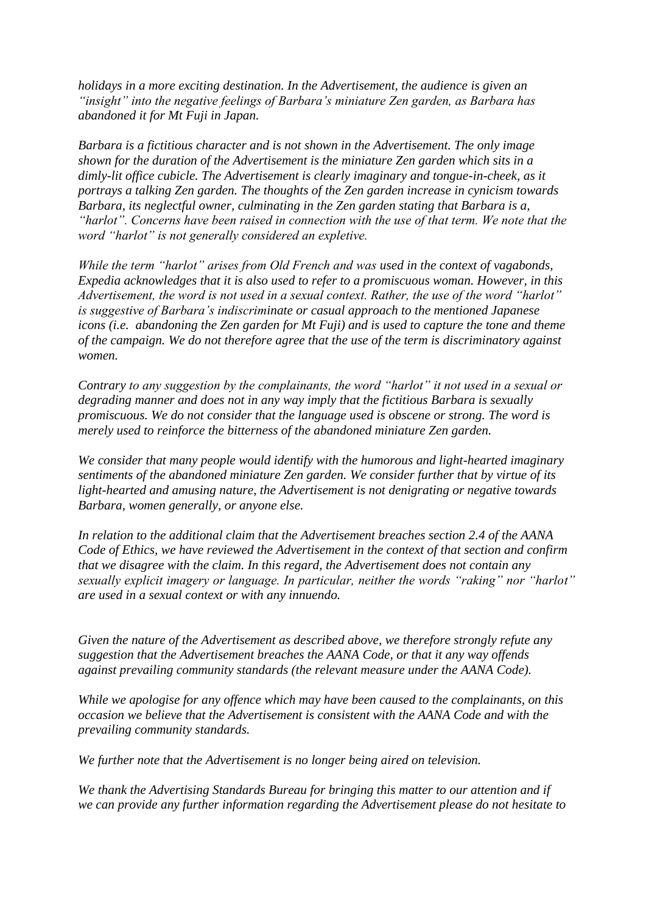*holidays in a more exciting destination. In the Advertisement, the audience is given an "insight" into the negative feelings of Barbara's miniature Zen garden, as Barbara has abandoned it for Mt Fuji in Japan.* 

*Barbara is a fictitious character and is not shown in the Advertisement. The only image shown for the duration of the Advertisement is the miniature Zen garden which sits in a dimly-lit office cubicle. The Advertisement is clearly imaginary and tongue-in-cheek, as it portrays a talking Zen garden. The thoughts of the Zen garden increase in cynicism towards Barbara, its neglectful owner, culminating in the Zen garden stating that Barbara is a, "harlot". Concerns have been raised in connection with the use of that term. We note that the word "harlot" is not generally considered an expletive.* 

*While the term "harlot" arises from Old French and was used in the context of vagabonds, Expedia acknowledges that it is also used to refer to a promiscuous woman. However, in this Advertisement, the word is not used in a sexual context. Rather, the use of the word "harlot" is suggestive of Barbara's indiscriminate or casual approach to the mentioned Japanese icons (i.e. abandoning the Zen garden for Mt Fuji) and is used to capture the tone and theme of the campaign. We do not therefore agree that the use of the term is discriminatory against women.* 

*Contrary to any suggestion by the complainants, the word "harlot" it not used in a sexual or degrading manner and does not in any way imply that the fictitious Barbara is sexually promiscuous. We do not consider that the language used is obscene or strong. The word is merely used to reinforce the bitterness of the abandoned miniature Zen garden.* 

*We consider that many people would identify with the humorous and light-hearted imaginary sentiments of the abandoned miniature Zen garden. We consider further that by virtue of its light-hearted and amusing nature, the Advertisement is not denigrating or negative towards Barbara, women generally, or anyone else.* 

*In relation to the additional claim that the Advertisement breaches section 2.4 of the AANA Code of Ethics, we have reviewed the Advertisement in the context of that section and confirm that we disagree with the claim. In this regard, the Advertisement does not contain any sexually explicit imagery or language. In particular, neither the words "raking" nor "harlot" are used in a sexual context or with any innuendo.*

*Given the nature of the Advertisement as described above, we therefore strongly refute any suggestion that the Advertisement breaches the AANA Code, or that it any way offends against prevailing community standards (the relevant measure under the AANA Code).* 

*While we apologise for any offence which may have been caused to the complainants, on this occasion we believe that the Advertisement is consistent with the AANA Code and with the prevailing community standards.* 

*We further note that the Advertisement is no longer being aired on television.* 

*We thank the Advertising Standards Bureau for bringing this matter to our attention and if we can provide any further information regarding the Advertisement please do not hesitate to*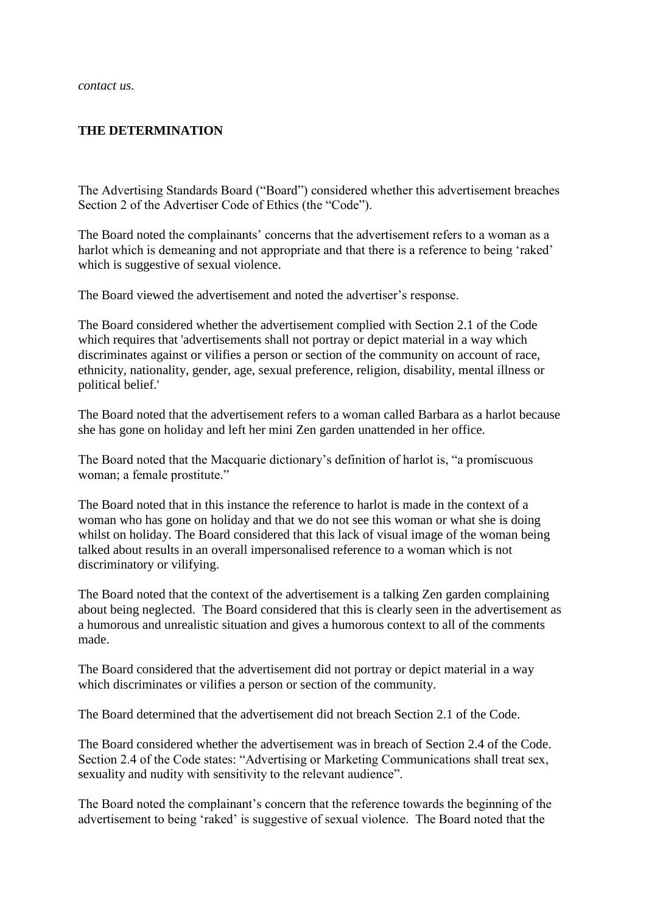*contact us.*

#### **THE DETERMINATION**

The Advertising Standards Board ("Board") considered whether this advertisement breaches Section 2 of the Advertiser Code of Ethics (the "Code").

The Board noted the complainants" concerns that the advertisement refers to a woman as a harlot which is demeaning and not appropriate and that there is a reference to being 'raked' which is suggestive of sexual violence.

The Board viewed the advertisement and noted the advertiser's response.

The Board considered whether the advertisement complied with Section 2.1 of the Code which requires that 'advertisements shall not portray or depict material in a way which discriminates against or vilifies a person or section of the community on account of race, ethnicity, nationality, gender, age, sexual preference, religion, disability, mental illness or political belief.'

The Board noted that the advertisement refers to a woman called Barbara as a harlot because she has gone on holiday and left her mini Zen garden unattended in her office.

The Board noted that the Macquarie dictionary"s definition of harlot is, "a promiscuous woman; a female prostitute."

The Board noted that in this instance the reference to harlot is made in the context of a woman who has gone on holiday and that we do not see this woman or what she is doing whilst on holiday. The Board considered that this lack of visual image of the woman being talked about results in an overall impersonalised reference to a woman which is not discriminatory or vilifying.

The Board noted that the context of the advertisement is a talking Zen garden complaining about being neglected. The Board considered that this is clearly seen in the advertisement as a humorous and unrealistic situation and gives a humorous context to all of the comments made.

The Board considered that the advertisement did not portray or depict material in a way which discriminates or vilifies a person or section of the community.

The Board determined that the advertisement did not breach Section 2.1 of the Code.

The Board considered whether the advertisement was in breach of Section 2.4 of the Code. Section 2.4 of the Code states: "Advertising or Marketing Communications shall treat sex, sexuality and nudity with sensitivity to the relevant audience".

The Board noted the complainant"s concern that the reference towards the beginning of the advertisement to being "raked" is suggestive of sexual violence. The Board noted that the